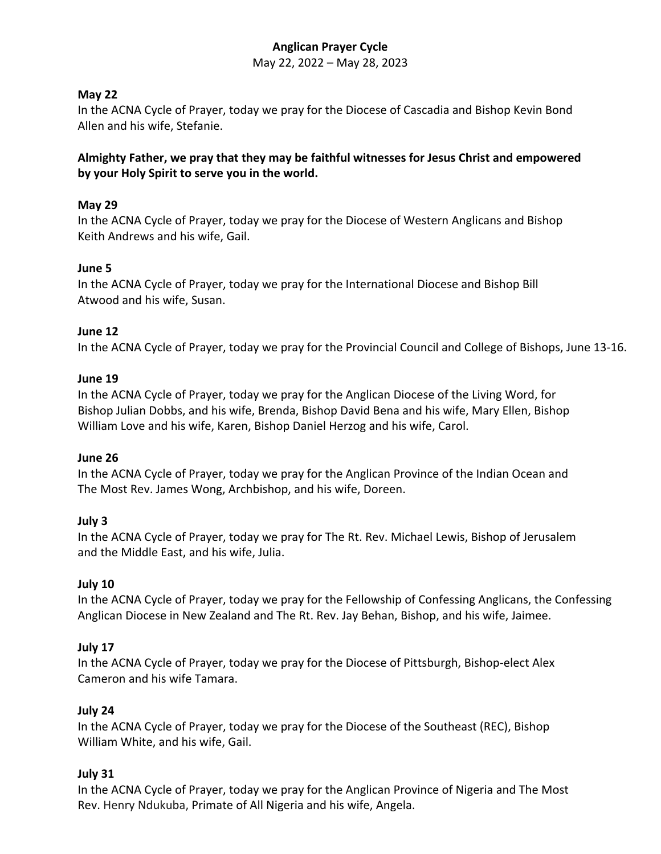# **Anglican Prayer Cycle**

May 22, 2022 – May 28, 2023

# **May 22**

In the ACNA Cycle of Prayer, today we pray for the Diocese of Cascadia and Bishop Kevin Bond Allen and his wife, Stefanie.

**Almighty Father, we pray that they may be faithful witnesses for Jesus Christ and empowered by your Holy Spirit to serve you in the world.**

# **May 29**

In the ACNA Cycle of Prayer, today we pray for the Diocese of Western Anglicans and Bishop Keith Andrews and his wife, Gail.

# **June 5**

In the ACNA Cycle of Prayer, today we pray for the International Diocese and Bishop Bill Atwood and his wife, Susan.

# **June 12**

In the ACNA Cycle of Prayer, today we pray for the Provincial Council and College of Bishops, June 13-16.

### **June 19**

In the ACNA Cycle of Prayer, today we pray for the Anglican Diocese of the Living Word, for Bishop Julian Dobbs, and his wife, Brenda, Bishop David Bena and his wife, Mary Ellen, Bishop William Love and his wife, Karen, Bishop Daniel Herzog and his wife, Carol.

### **June 26**

In the ACNA Cycle of Prayer, today we pray for the Anglican Province of the Indian Ocean and The Most Rev. James Wong, Archbishop, and his wife, Doreen.

### **July 3**

In the ACNA Cycle of Prayer, today we pray for The Rt. Rev. Michael Lewis, Bishop of Jerusalem and the Middle East, and his wife, Julia.

### **July 10**

In the ACNA Cycle of Prayer, today we pray for the Fellowship of Confessing Anglicans, the Confessing Anglican Diocese in New Zealand and The Rt. Rev. Jay Behan, Bishop, and his wife, Jaimee.

# **July 17**

In the ACNA Cycle of Prayer, today we pray for the Diocese of Pittsburgh, Bishop-elect Alex Cameron and his wife Tamara.

### **July 24**

In the ACNA Cycle of Prayer, today we pray for the Diocese of the Southeast (REC), Bishop William White, and his wife, Gail.

### **July 31**

In the ACNA Cycle of Prayer, today we pray for the Anglican Province of Nigeria and The Most Rev. Henry Ndukuba, Primate of All Nigeria and his wife, Angela.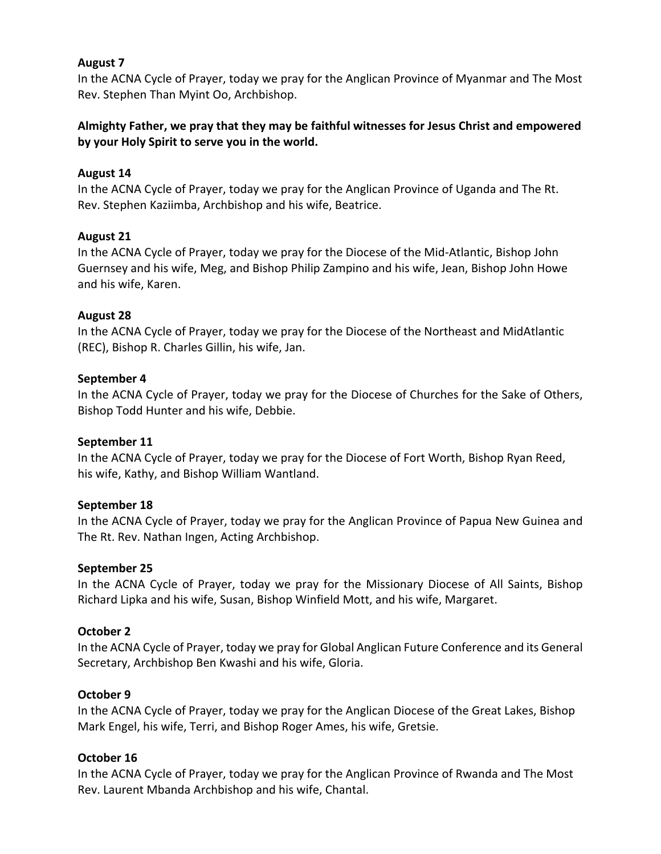# **August 7**

In the ACNA Cycle of Prayer, today we pray for the Anglican Province of Myanmar and The Most Rev. Stephen Than Myint Oo, Archbishop.

# **Almighty Father, we pray that they may be faithful witnesses for Jesus Christ and empowered by your Holy Spirit to serve you in the world.**

## **August 14**

In the ACNA Cycle of Prayer, today we pray for the Anglican Province of Uganda and The Rt. Rev. Stephen Kaziimba, Archbishop and his wife, Beatrice.

# **August 21**

In the ACNA Cycle of Prayer, today we pray for the Diocese of the Mid-Atlantic, Bishop John Guernsey and his wife, Meg, and Bishop Philip Zampino and his wife, Jean, Bishop John Howe and his wife, Karen.

### **August 28**

In the ACNA Cycle of Prayer, today we pray for the Diocese of the Northeast and MidAtlantic (REC), Bishop R. Charles Gillin, his wife, Jan.

### **September 4**

In the ACNA Cycle of Prayer, today we pray for the Diocese of Churches for the Sake of Others, Bishop Todd Hunter and his wife, Debbie.

### **September 11**

In the ACNA Cycle of Prayer, today we pray for the Diocese of Fort Worth, Bishop Ryan Reed, his wife, Kathy, and Bishop William Wantland.

### **September 18**

In the ACNA Cycle of Prayer, today we pray for the Anglican Province of Papua New Guinea and The Rt. Rev. Nathan Ingen, Acting Archbishop.

### **September 25**

In the ACNA Cycle of Prayer, today we pray for the Missionary Diocese of All Saints, Bishop Richard Lipka and his wife, Susan, Bishop Winfield Mott, and his wife, Margaret.

### **October 2**

In the ACNA Cycle of Prayer, today we pray for Global Anglican Future Conference and its General Secretary, Archbishop Ben Kwashi and his wife, Gloria.

### **October 9**

In the ACNA Cycle of Prayer, today we pray for the Anglican Diocese of the Great Lakes, Bishop Mark Engel, his wife, Terri, and Bishop Roger Ames, his wife, Gretsie.

### **October 16**

In the ACNA Cycle of Prayer, today we pray for the Anglican Province of Rwanda and The Most Rev. Laurent Mbanda Archbishop and his wife, Chantal.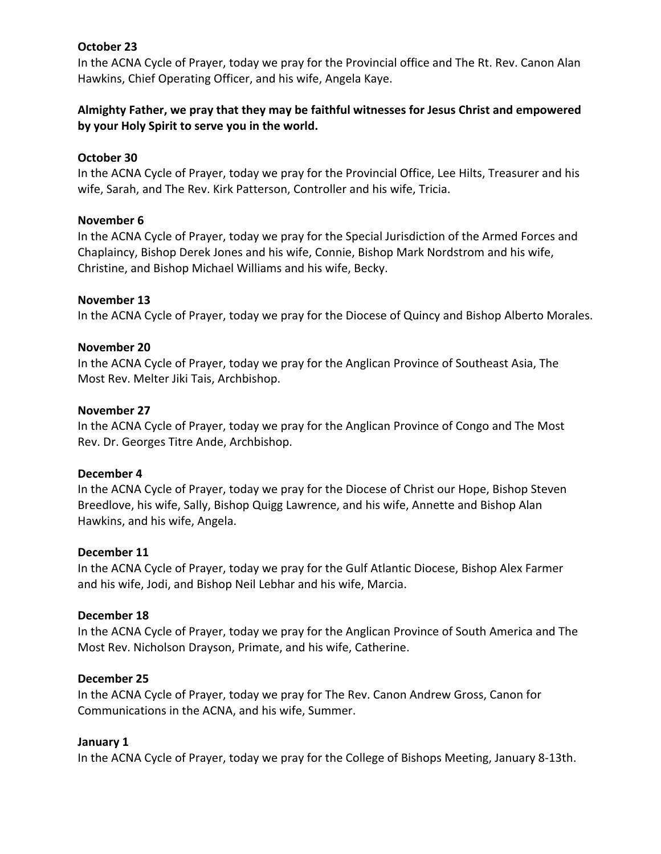# **October 23**

In the ACNA Cycle of Prayer, today we pray for the Provincial office and The Rt. Rev. Canon Alan Hawkins, Chief Operating Officer, and his wife, Angela Kaye.

# **Almighty Father, we pray that they may be faithful witnesses for Jesus Christ and empowered by your Holy Spirit to serve you in the world.**

# **October 30**

In the ACNA Cycle of Prayer, today we pray for the Provincial Office, Lee Hilts, Treasurer and his wife, Sarah, and The Rev. Kirk Patterson, Controller and his wife, Tricia.

### **November 6**

In the ACNA Cycle of Prayer, today we pray for the Special Jurisdiction of the Armed Forces and Chaplaincy, Bishop Derek Jones and his wife, Connie, Bishop Mark Nordstrom and his wife, Christine, and Bishop Michael Williams and his wife, Becky.

### **November 13**

In the ACNA Cycle of Prayer, today we pray for the Diocese of Quincy and Bishop Alberto Morales.

#### **November 20**

In the ACNA Cycle of Prayer, today we pray for the Anglican Province of Southeast Asia, The Most Rev. Melter Jiki Tais, Archbishop.

#### **November 27**

In the ACNA Cycle of Prayer, today we pray for the Anglican Province of Congo and The Most Rev. Dr. Georges Titre Ande, Archbishop.

#### **December 4**

In the ACNA Cycle of Prayer, today we pray for the Diocese of Christ our Hope, Bishop Steven Breedlove, his wife, Sally, Bishop Quigg Lawrence, and his wife, Annette and Bishop Alan Hawkins, and his wife, Angela.

#### **December 11**

In the ACNA Cycle of Prayer, today we pray for the Gulf Atlantic Diocese, Bishop Alex Farmer and his wife, Jodi, and Bishop Neil Lebhar and his wife, Marcia.

#### **December 18**

In the ACNA Cycle of Prayer, today we pray for the Anglican Province of South America and The Most Rev. Nicholson Drayson, Primate, and his wife, Catherine.

#### **December 25**

In the ACNA Cycle of Prayer, today we pray for The Rev. Canon Andrew Gross, Canon for Communications in the ACNA, and his wife, Summer.

#### **January 1**

In the ACNA Cycle of Prayer, today we pray for the College of Bishops Meeting, January 8-13th.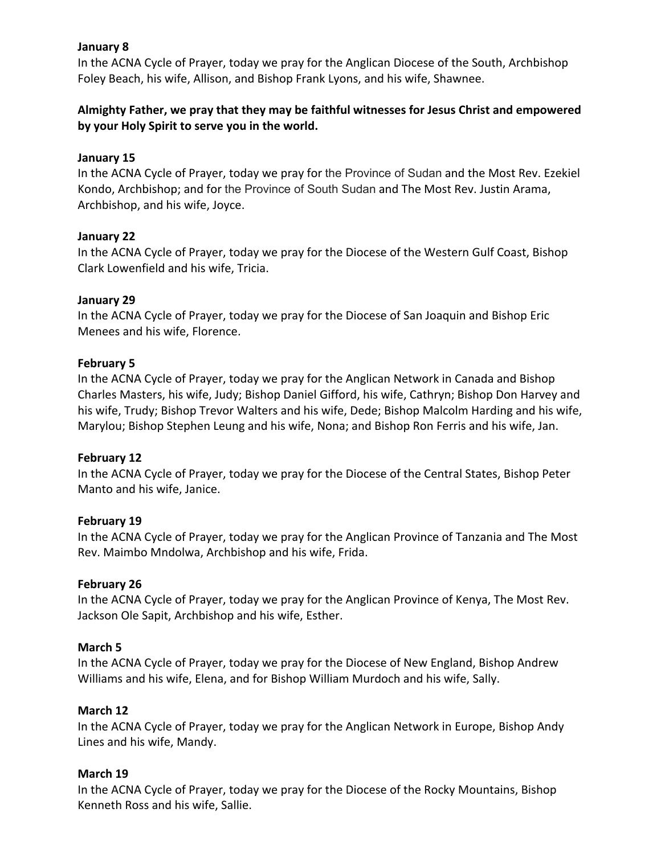# **January 8**

In the ACNA Cycle of Prayer, today we pray for the Anglican Diocese of the South, Archbishop Foley Beach, his wife, Allison, and Bishop Frank Lyons, and his wife, Shawnee.

# **Almighty Father, we pray that they may be faithful witnesses for Jesus Christ and empowered by your Holy Spirit to serve you in the world.**

### **January 15**

In the ACNA Cycle of Prayer, today we pray for the Province of Sudan and the Most Rev. Ezekiel Kondo, Archbishop; and for the Province of South Sudan and The Most Rev. Justin Arama, Archbishop, and his wife, Joyce.

### **January 22**

In the ACNA Cycle of Prayer, today we pray for the Diocese of the Western Gulf Coast, Bishop Clark Lowenfield and his wife, Tricia.

### **January 29**

In the ACNA Cycle of Prayer, today we pray for the Diocese of San Joaquin and Bishop Eric Menees and his wife, Florence.

#### **February 5**

In the ACNA Cycle of Prayer, today we pray for the Anglican Network in Canada and Bishop Charles Masters, his wife, Judy; Bishop Daniel Gifford, his wife, Cathryn; Bishop Don Harvey and his wife, Trudy; Bishop Trevor Walters and his wife, Dede; Bishop Malcolm Harding and his wife, Marylou; Bishop Stephen Leung and his wife, Nona; and Bishop Ron Ferris and his wife, Jan.

### **February 12**

In the ACNA Cycle of Prayer, today we pray for the Diocese of the Central States, Bishop Peter Manto and his wife, Janice.

#### **February 19**

In the ACNA Cycle of Prayer, today we pray for the Anglican Province of Tanzania and The Most Rev. Maimbo Mndolwa, Archbishop and his wife, Frida.

### **February 26**

In the ACNA Cycle of Prayer, today we pray for the Anglican Province of Kenya, The Most Rev. Jackson Ole Sapit, Archbishop and his wife, Esther.

### **March 5**

In the ACNA Cycle of Prayer, today we pray for the Diocese of New England, Bishop Andrew Williams and his wife, Elena, and for Bishop William Murdoch and his wife, Sally.

### **March 12**

In the ACNA Cycle of Prayer, today we pray for the Anglican Network in Europe, Bishop Andy Lines and his wife, Mandy.

### **March 19**

In the ACNA Cycle of Prayer, today we pray for the Diocese of the Rocky Mountains, Bishop Kenneth Ross and his wife, Sallie.